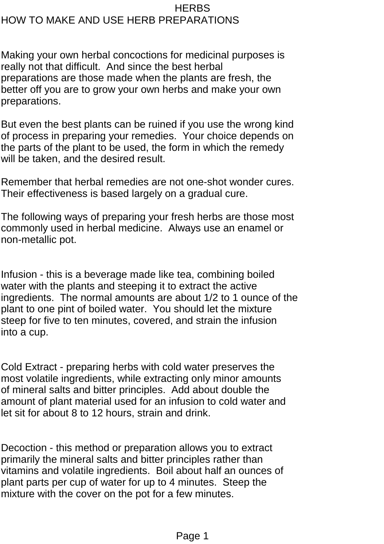## **HERBS** HOW TO MAKE AND USE HERB PREPARATIONS

Making your own herbal concoctions for medicinal purposes is really not that difficult. And since the best herbal preparations are those made when the plants are fresh, the better off you are to grow your own herbs and make your own preparations.

But even the best plants can be ruined if you use the wrong kind of process in preparing your remedies. Your choice depends on the parts of the plant to be used, the form in which the remedy will be taken, and the desired result.

Remember that herbal remedies are not one-shot wonder cures. Their effectiveness is based largely on a gradual cure.

The following ways of preparing your fresh herbs are those most commonly used in herbal medicine. Always use an enamel or non-metallic pot.

Infusion - this is a beverage made like tea, combining boiled water with the plants and steeping it to extract the active ingredients. The normal amounts are about 1/2 to 1 ounce of the plant to one pint of boiled water. You should let the mixture steep for five to ten minutes, covered, and strain the infusion into a cup.

Cold Extract - preparing herbs with cold water preserves the most volatile ingredients, while extracting only minor amounts of mineral salts and bitter principles. Add about double the amount of plant material used for an infusion to cold water and let sit for about 8 to 12 hours, strain and drink.

Decoction - this method or preparation allows you to extract primarily the mineral salts and bitter principles rather than vitamins and volatile ingredients. Boil about half an ounces of plant parts per cup of water for up to 4 minutes. Steep the mixture with the cover on the pot for a few minutes.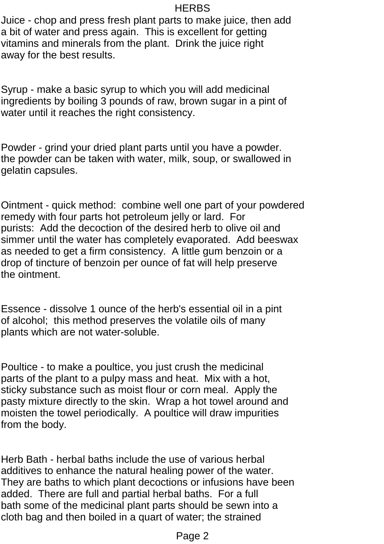## **HERBS**

Juice - chop and press fresh plant parts to make juice, then add a bit of water and press again. This is excellent for getting vitamins and minerals from the plant. Drink the juice right away for the best results.

Syrup - make a basic syrup to which you will add medicinal ingredients by boiling 3 pounds of raw, brown sugar in a pint of water until it reaches the right consistency.

Powder - grind your dried plant parts until you have a powder. the powder can be taken with water, milk, soup, or swallowed in gelatin capsules.

Ointment - quick method: combine well one part of your powdered remedy with four parts hot petroleum jelly or lard. For purists: Add the decoction of the desired herb to olive oil and simmer until the water has completely evaporated. Add beeswax as needed to get a firm consistency. A little gum benzoin or a drop of tincture of benzoin per ounce of fat will help preserve the ointment.

Essence - dissolve 1 ounce of the herb's essential oil in a pint of alcohol; this method preserves the volatile oils of many plants which are not water-soluble.

Poultice - to make a poultice, you just crush the medicinal parts of the plant to a pulpy mass and heat. Mix with a hot, sticky substance such as moist flour or corn meal. Apply the pasty mixture directly to the skin. Wrap a hot towel around and moisten the towel periodically. A poultice will draw impurities from the body.

Herb Bath - herbal baths include the use of various herbal additives to enhance the natural healing power of the water. They are baths to which plant decoctions or infusions have been added. There are full and partial herbal baths. For a full bath some of the medicinal plant parts should be sewn into a cloth bag and then boiled in a quart of water; the strained